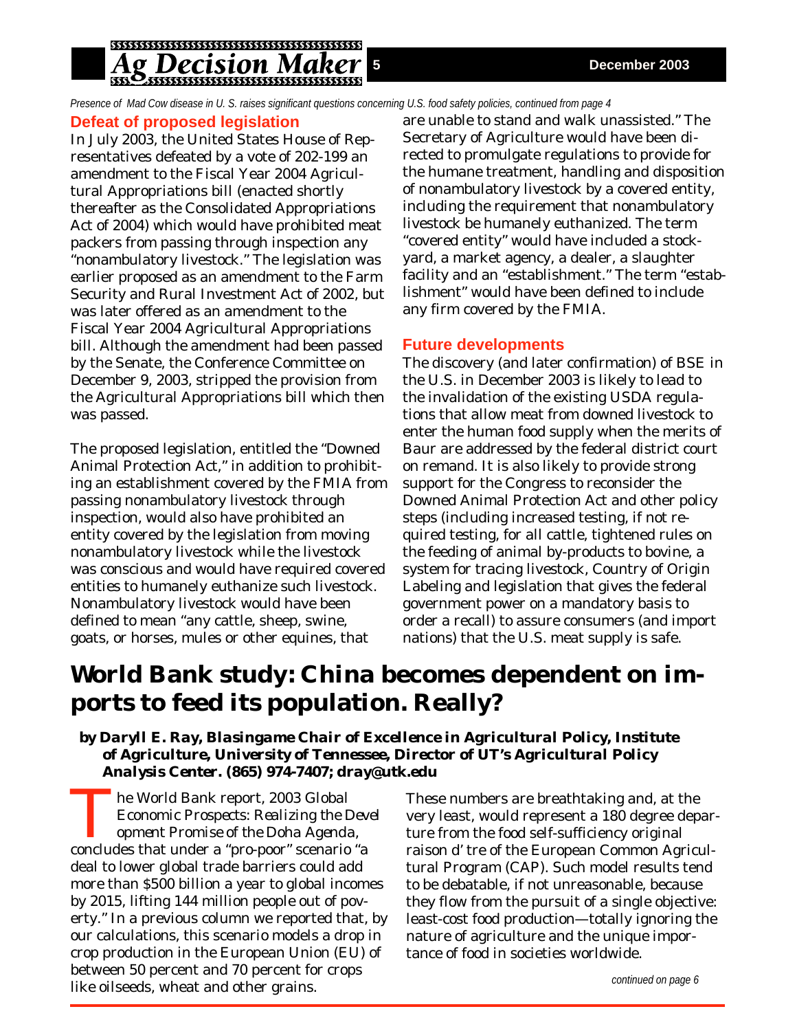## g Decision Ma

*Presence of Mad Cow disease in U. S. raises significant questions concerning U.S. food safety policies, continued from page 4*

### **Defeat of proposed legislation**

In July 2003, the United States House of Representatives defeated by a vote of 202-199 an amendment to the Fiscal Year 2004 Agricultural Appropriations bill (enacted shortly thereafter as the Consolidated Appropriations Act of 2004) which would have prohibited meat packers from passing through inspection any "nonambulatory livestock." The legislation was earlier proposed as an amendment to the Farm Security and Rural Investment Act of 2002, but was later offered as an amendment to the Fiscal Year 2004 Agricultural Appropriations bill. Although the amendment had been passed by the Senate, the Conference Committee on December 9, 2003, stripped the provision from the Agricultural Appropriations bill which then was passed.

The proposed legislation, entitled the "Downed Animal Protection Act," in addition to prohibiting an establishment covered by the FMIA from passing nonambulatory livestock through inspection, would also have prohibited an entity covered by the legislation from moving nonambulatory livestock while the livestock was conscious and would have required covered entities to humanely euthanize such livestock. Nonambulatory livestock would have been defined to mean "any cattle, sheep, swine, goats, or horses, mules or other equines, that

are unable to stand and walk unassisted." The Secretary of Agriculture would have been directed to promulgate regulations to provide for the humane treatment, handling and disposition of nonambulatory livestock by a covered entity, including the requirement that nonambulatory livestock be humanely euthanized. The term "covered entity" would have included a stockyard, a market agency, a dealer, a slaughter facility and an "establishment." The term "establishment" would have been defined to include any firm covered by the FMIA.

### **Future developments**

The discovery (and later confirmation) of BSE in the U.S. in December 2003 is likely to lead to the invalidation of the existing USDA regulations that allow meat from downed livestock to enter the human food supply when the merits of *Baur* are addressed by the federal district court on remand. It is also likely to provide strong support for the Congress to reconsider the Downed Animal Protection Act and other policy steps (including increased testing, if not required testing, for all cattle, tightened rules on the feeding of animal by-products to bovine, a system for tracing livestock, Country of Origin Labeling and legislation that gives the federal government power on a mandatory basis to order a recall) to assure consumers (and import nations) that the U.S. meat supply is safe.

# **World Bank study: China becomes dependent on imports to feed its population. Really?**

*by Daryll E. Ray, Blasingame Chair of Excellence in Agricultural Policy, Institute of Agriculture, University of Tennessee, Director of UT's Agricultural Policy Analysis Center. (865) 974-7407; dray@utk.edu*

The World Bank report, *2003 Global Economic Prospects: Realizing the Devel opment Promise of the Doha Agenda,* concludes that under a "pro-poor" scenario "a deal to lower global trade barriers could add more than \$500 billion a year to global incomes by 2015, lifting 144 million people out of poverty." In a previous column we reported that, by our calculations, this scenario models a drop in crop production in the European Union (EU) of between 50 percent and 70 percent for crops like oilseeds, wheat and other grains.

These numbers are breathtaking and, at the very least, would represent a 180 degree departure from the food self-sufficiency original raison d' tre of the European Common Agricultural Program (CAP). Such model results tend to be debatable, if not unreasonable, because they flow from the pursuit of a single objective: least-cost food production—totally ignoring the nature of agriculture and the unique importance of food in societies worldwide.